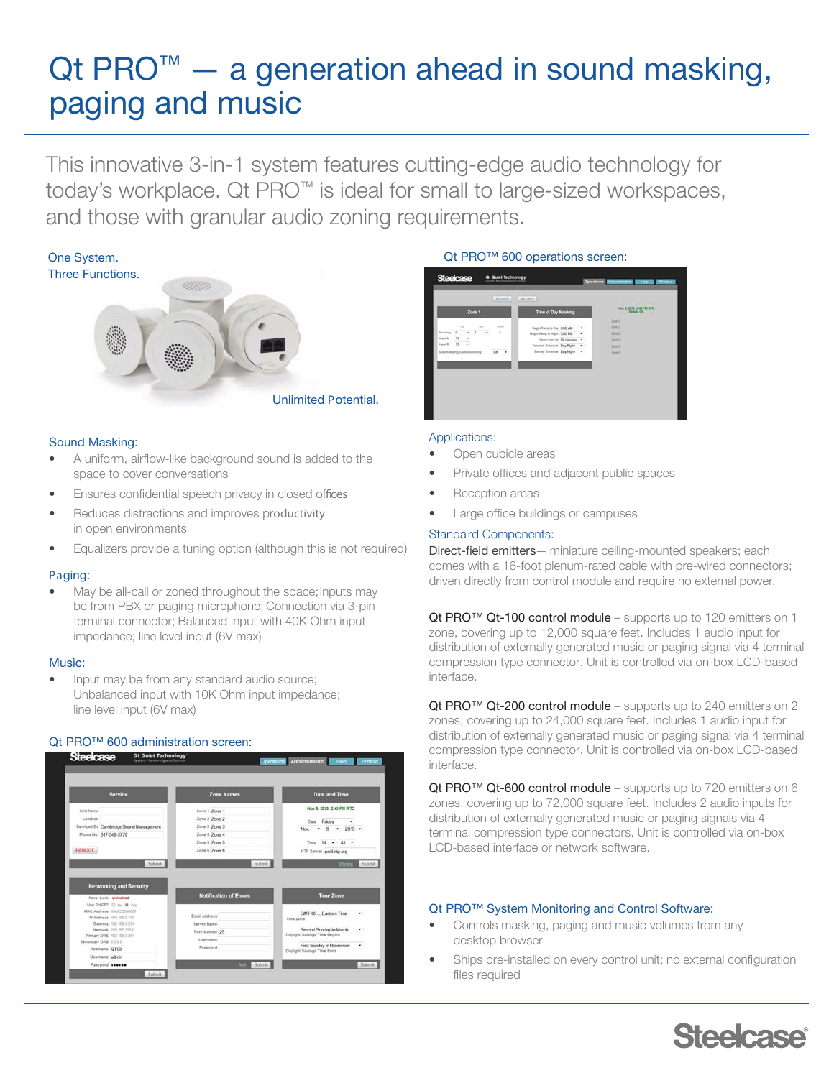# Qt PRO<sup>™</sup> - a generation ahead in sound masking, paging and music

This innovative 3-in-1 system features cutting-edge audio technology for today's workplace. Qt PRO™ is ideal for small to large-sized workspaces, and those with granular audio zoning requirements.



## Sound Masking:

- A uniform, airflow-like background sound is added to the space to cover conversations
- Ensures confidential speech privacy in closed offices
- Reduces distractions and improves productivity in open environments
- Equalizers provide a tuning option (although this is not required)

# Paging:

• May be all-call or zoned throughout the space; Inputs may be from PBX or paging microphone; Connection via 3-pin terminal connector; Balanced input with 40K Ohm input impedance; line level input (6V max)

## Music:

• Input may be from any standard audio source; Unbalanced input with 10K Ohm input impedance; line level input (6V max)

# Qt PRO<sup>™</sup> 600 administration screen:



## Qt PRO<sup>™</sup> 600 operations screen:



## Applications:

- Open cubicle areas
- Private offices and adjacent public spaces
- Reception areas
- Large office buildings or campuses

# Standard Components:

Direct-field emitters- miniature ceiling-mounted speakers; each comes with a 16-foot plenum-rated cable with pre-wired connectors; driven directly from control module and require no external power.

Qt PRO™ Qt-100 control module – supports up to 120 emitters on 1 zone, covering up to 12,000 square feet. Includes 1 audio input for distribution of externally generated music or paging signal via 4 terminal compression type connector. Unit is controlled via on-box LCD-based interface.

Qt PRO™ Qt-200 control module – supports up to 240 emitters on 2 zones, covering up to 24,000 square feet. Includes 1 audio input for distribution of externally generated music or paging signal via 4 terminal compression type connector. Unit is controlled via on-box LCD-based interface.

Qt PRO™ Qt-600 control module – supports up to 720 emitters on 6 zones, covering up to 72,000 square feet. Includes 2 audio inputs for distribution of externally generated music or paging signals via 4 terminal compression type connectors. Unit is controlled via on-box LCD-based interface or network software.

## Qt PRO™ System Monitoring and Control Software:

- Controls masking, paging and music volumes from any desktop browser
- Ships pre-installed on every control unit; no external configuration files required